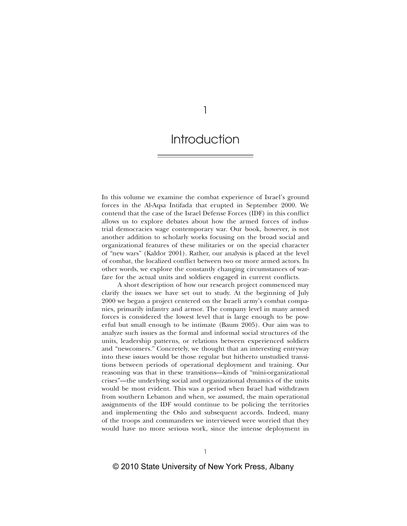# 1

# **Introduction**

In this volume we examine the combat experience of Israel's ground forces in the Al-Aqsa Intifada that erupted in September 2000. We contend that the case of the Israel Defense Forces (IDF) in this conflict allows us to explore debates about how the armed forces of industrial democracies wage contemporary war. Our book, however, is not another addition to scholarly works focusing on the broad social and organizational features of these militaries or on the special character of "new wars" (Kaldor 2001). Rather, our analysis is placed at the level of combat, the localized conflict between two or more armed actors. In other words, we explore the constantly changing circumstances of warfare for the actual units and soldiers engaged in current conflicts.

A short description of how our research project commenced may clarify the issues we have set out to study. At the beginning of July 2000 we began a project centered on the Israeli army's combat companies, primarily infantry and armor. The company level in many armed forces is considered the lowest level that is large enough to be powerful but small enough to be intimate (Baum 2005). Our aim was to analyze such issues as the formal and informal social structures of the units, leadership patterns, or relations between experienced soldiers and "newcomers." Concretely, we thought that an interesting entryway into these issues would be those regular but hitherto unstudied transitions between periods of operational deployment and training. Our reasoning was that in these transitions—kinds of "mini-organizational crises"—the underlying social and organizational dynamics of the units would be most evident. This was a period when Israel had withdrawn from southern Lebanon and when, we assumed, the main operational assignments of the IDF would continue to be policing the territories and implementing the Oslo and subsequent accords. Indeed, many of the troops and commanders we interviewed were worried that they would have no more serious work, since the intense deployment in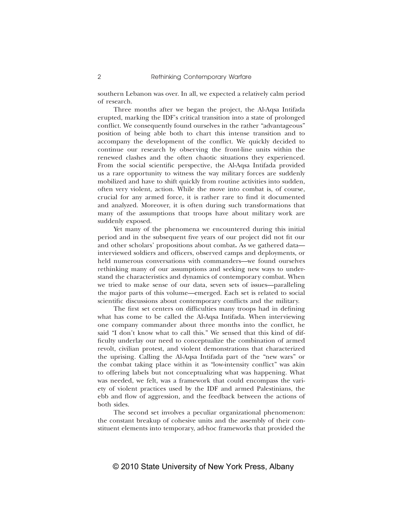southern Lebanon was over. In all, we expected a relatively calm period of research.

Three months after we began the project, the Al-Aqsa Intifada erupted, marking the IDF's critical transition into a state of prolonged conflict. We consequently found ourselves in the rather "advantageous" position of being able both to chart this intense transition and to accompany the development of the conflict. We quickly decided to continue our research by observing the front-line units within the renewed clashes and the often chaotic situations they experienced. From the social scientific perspective, the Al-Aqsa Intifada provided us a rare opportunity to witness the way military forces are suddenly mobilized and have to shift quickly from routine activities into sudden, often very violent, action. While the move into combat is, of course, crucial for any armed force, it is rather rare to find it documented and analyzed. Moreover, it is often during such transformations that many of the assumptions that troops have about military work are suddenly exposed.

Yet many of the phenomena we encountered during this initial period and in the subsequent five years of our project did not fit our and other scholars' propositions about combat**.** As we gathered data interviewed soldiers and officers, observed camps and deployments, or held numerous conversations with commanders—we found ourselves rethinking many of our assumptions and seeking new ways to understand the characteristics and dynamics of contemporary combat. When we tried to make sense of our data, seven sets of issues—paralleling the major parts of this volume—emerged. Each set is related to social scientific discussions about contemporary conflicts and the military.

The first set centers on difficulties many troops had in defining what has come to be called the Al-Aqsa Intifada. When interviewing one company commander about three months into the conflict, he said "I don't know what to call this." We sensed that this kind of difficulty underlay our need to conceptualize the combination of armed revolt, civilian protest, and violent demonstrations that characterized the uprising. Calling the Al-Aqsa Intifada part of the "new wars" or the combat taking place within it as "low-intensity conflict" was akin to offering labels but not conceptualizing what was happening. What was needed, we felt, was a framework that could encompass the variety of violent practices used by the IDF and armed Palestinians, the ebb and flow of aggression, and the feedback between the actions of both sides.

The second set involves a peculiar organizational phenomenon: the constant breakup of cohesive units and the assembly of their constituent elements into temporary, ad-hoc frameworks that provided the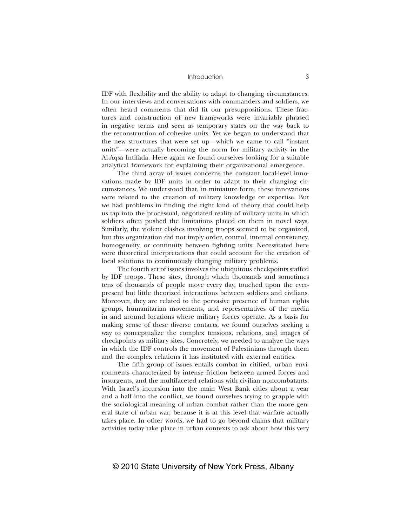IDF with flexibility and the ability to adapt to changing circumstances. In our interviews and conversations with commanders and soldiers, we often heard comments that did fit our presuppositions. These fractures and construction of new frameworks were invariably phrased in negative terms and seen as temporary states on the way back to the reconstruction of cohesive units. Yet we began to understand that the new structures that were set up—which we came to call "instant units"—were actually becoming the norm for military activity in the Al-Aqsa Intifada. Here again we found ourselves looking for a suitable analytical framework for explaining their organizational emergence.

The third array of issues concerns the constant local-level innovations made by IDF units in order to adapt to their changing circumstances. We understood that, in miniature form, these innovations were related to the creation of military knowledge or expertise. But we had problems in finding the right kind of theory that could help us tap into the processual, negotiated reality of military units in which soldiers often pushed the limitations placed on them in novel ways. Similarly, the violent clashes involving troops seemed to be organized, but this organization did not imply order, control, internal consistency, homogeneity, or continuity between fighting units. Necessitated here were theoretical interpretations that could account for the creation of local solutions to continuously changing military problems.

The fourth set of issues involves the ubiquitous checkpoints staffed by IDF troops. These sites, through which thousands and sometimes tens of thousands of people move every day, touched upon the everpresent but little theorized interactions between soldiers and civilians. Moreover, they are related to the pervasive presence of human rights groups, humanitarian movements, and representatives of the media in and around locations where military forces operate. As a basis for making sense of these diverse contacts, we found ourselves seeking a way to conceptualize the complex tensions, relations, and images of checkpoints as military sites. Concretely, we needed to analyze the ways in which the IDF controls the movement of Palestinians through them and the complex relations it has instituted with external entities.

The fifth group of issues entails combat in citified, urban environments characterized by intense friction between armed forces and insurgents, and the multifaceted relations with civilian noncombatants. With Israel's incursion into the main West Bank cities about a year and a half into the conflict, we found ourselves trying to grapple with the sociological meaning of urban combat rather than the more general state of urban war, because it is at this level that warfare actually takes place. In other words, we had to go beyond claims that military activities today take place in urban contexts to ask about how this very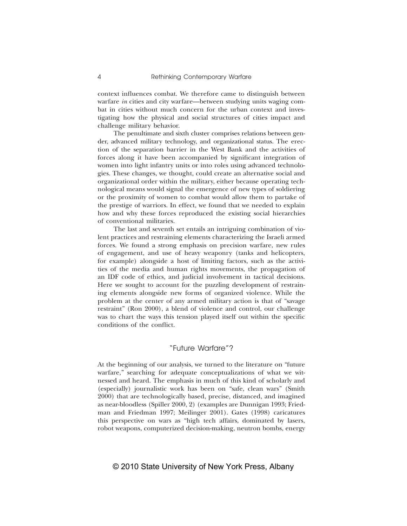context influences combat. We therefore came to distinguish between warfare *in* cities and city warfare—between studying units waging combat in cities without much concern for the urban context and investigating how the physical and social structures of cities impact and challenge military behavior.

The penultimate and sixth cluster comprises relations between gender, advanced military technology, and organizational status. The erection of the separation barrier in the West Bank and the activities of forces along it have been accompanied by significant integration of women into light infantry units or into roles using advanced technologies. These changes, we thought, could create an alternative social and organizational order within the military, either because operating technological means would signal the emergence of new types of soldiering or the proximity of women to combat would allow them to partake of the prestige of warriors. In effect, we found that we needed to explain how and why these forces reproduced the existing social hierarchies of conventional militaries.

The last and seventh set entails an intriguing combination of violent practices and restraining elements characterizing the Israeli armed forces. We found a strong emphasis on precision warfare, new rules of engagement, and use of heavy weaponry (tanks and helicopters, for example) alongside a host of limiting factors, such as the activities of the media and human rights movements, the propagation of an IDF code of ethics, and judicial involvement in tactical decisions. Here we sought to account for the puzzling development of restraining elements alongside new forms of organized violence. While the problem at the center of any armed military action is that of "savage restraint" (Ron 2000), a blend of violence and control, our challenge was to chart the ways this tension played itself out within the specific conditions of the conflict.

## "Future Warfare"?

At the beginning of our analysis, we turned to the literature on "future warfare," searching for adequate conceptualizations of what we witnessed and heard. The emphasis in much of this kind of scholarly and (especially) journalistic work has been on "safe, clean wars" (Smith 2000) that are technologically based, precise, distanced, and imagined as near-bloodless (Spiller 2000, 2) (examples are Dunnigan 1993; Friedman and Friedman 1997; Meilinger 2001). Gates (1998) caricatures this perspective on wars as "high tech affairs, dominated by lasers, robot weapons, computerized decision-making, neutron bombs, energy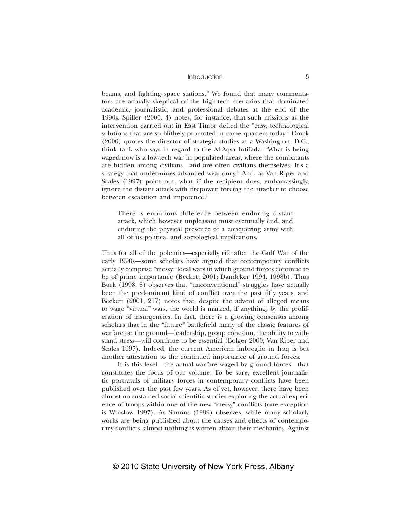beams, and fighting space stations." We found that many commentators are actually skeptical of the high-tech scenarios that dominated academic, journalistic, and professional debates at the end of the 1990s. Spiller (2000, 4) notes, for instance, that such missions as the intervention carried out in East Timor defied the "easy, technological solutions that are so blithely promoted in some quarters today." Crock (2000) quotes the director of strategic studies at a Washington, D.C., think tank who says in regard to the Al-Aqsa Intifada: "What is being waged now is a low-tech war in populated areas, where the combatants are hidden among civilians—and are often civilians themselves. It's a strategy that undermines advanced weaponry." And, as Van Riper and Scales (1997) point out, what if the recipient does, embarrassingly, ignore the distant attack with firepower, forcing the attacker to choose between escalation and impotence?

There is enormous difference between enduring distant attack, which however unpleasant must eventually end, and enduring the physical presence of a conquering army with all of its political and sociological implications.

Thus for all of the polemics—especially rife after the Gulf War of the early 1990s—some scholars have argued that contemporary conflicts actually comprise "messy" local wars in which ground forces continue to be of prime importance (Beckett 2001; Dandeker 1994, 1998b). Thus Burk (1998, 8) observes that "unconventional" struggles have actually been the predominant kind of conflict over the past fifty years, and Beckett (2001, 217) notes that, despite the advent of alleged means to wage "virtual" wars, the world is marked, if anything, by the proliferation of insurgencies. In fact, there is a growing consensus among scholars that in the "future" battlefield many of the classic features of warfare on the ground—leadership, group cohesion, the ability to withstand stress—will continue to be essential (Bolger 2000; Van Riper and Scales 1997). Indeed, the current American imbroglio in Iraq is but another attestation to the continued importance of ground forces.

It is this level—the actual warfare waged by ground forces—that constitutes the focus of our volume. To be sure, excellent journalistic portrayals of military forces in contemporary conflicts have been published over the past few years. As of yet, however, there have been almost no sustained social scientific studies exploring the actual experience of troops within one of the new "messy" conflicts (one exception is Winslow 1997). As Simons (1999) observes, while many scholarly works are being published about the causes and effects of contemporary conflicts, almost nothing is written about their mechanics. Against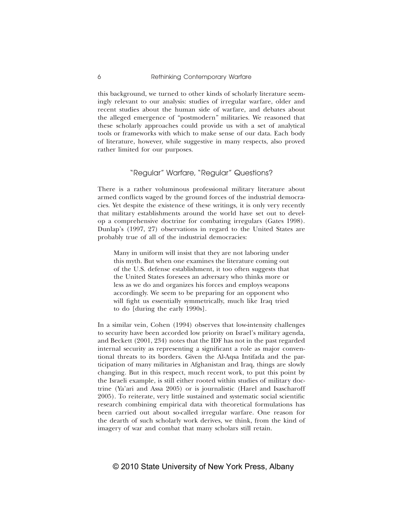this background, we turned to other kinds of scholarly literature seemingly relevant to our analysis: studies of irregular warfare, older and recent studies about the human side of warfare, and debates about the alleged emergence of "postmodern" militaries. We reasoned that these scholarly approaches could provide us with a set of analytical tools or frameworks with which to make sense of our data. Each body of literature, however, while suggestive in many respects, also proved rather limited for our purposes.

# "Regular" Warfare, "Regular" Questions?

There is a rather voluminous professional military literature about armed conflicts waged by the ground forces of the industrial democracies. Yet despite the existence of these writings, it is only very recently that military establishments around the world have set out to develop a comprehensive doctrine for combating irregulars (Gates 1998). Dunlap's (1997, 27) observations in regard to the United States are probably true of all of the industrial democracies:

Many in uniform will insist that they are not laboring under this myth. But when one examines the literature coming out of the U.S. defense establishment, it too often suggests that the United States foresees an adversary who thinks more or less as we do and organizes his forces and employs weapons accordingly. We seem to be preparing for an opponent who will fight us essentially symmetrically, much like Iraq tried to do [during the early 1990s].

In a similar vein, Cohen (1994) observes that low-intensity challenges to security have been accorded low priority on Israel's military agenda, and Beckett (2001, 234) notes that the IDF has not in the past regarded internal security as representing a significant a role as major conventional threats to its borders. Given the Al-Aqsa Intifada and the participation of many militaries in Afghanistan and Iraq, things are slowly changing. But in this respect, much recent work, to put this point by the Israeli example, is still either rooted within studies of military doctrine (Ya'ari and Assa 2005) or is journalistic (Harel and Isascharoff 2005). To reiterate, very little sustained and systematic social scientific research combining empirical data with theoretical formulations has been carried out about so-called irregular warfare. One reason for the dearth of such scholarly work derives, we think, from the kind of imagery of war and combat that many scholars still retain.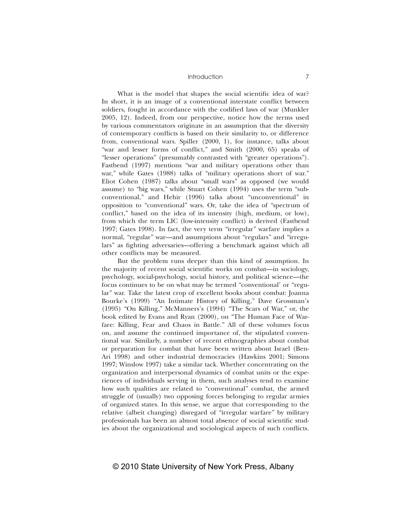What is the model that shapes the social scientific idea of war? In short, it is an image of a conventional interstate conflict between soldiers, fought in accordance with the codified laws of war (Munkler 2005, 12). Indeed, from our perspective, notice how the terms used by various commentators originate in an assumption that the diversity of contemporary conflicts is based on their similarity to, or difference from, conventional wars. Spiller (2000, 1), for instance, talks about "war and lesser forms of conflict," and Smith (2000, 65) speaks of "lesser operations" (presumably contrasted with "greater operations"). Fastbend (1997) mentions "war and military operations other than war," while Gates (1988) talks of "military operations short of war." Eliot Cohen (1987) talks about "small wars" as opposed (we would assume) to "big wars," while Stuart Cohen (1994) uses the term "subconventional," and Hehir (1996) talks about "unconventional" in opposition to "conventional" wars. Or, take the idea of "spectrum of conflict," based on the idea of its intensity (high, medium, or low), from which the term LIC (low-intensity conflict) is derived (Fastbend 1997; Gates 1998). In fact, the very term "irregular" warfare implies a normal, "regular" war—and assumptions about "regulars" and "irregulars" as fighting adversaries—offering a benchmark against which all other conflicts may be measured.

But the problem runs deeper than this kind of assumption. In the majority of recent social scientific works on combat—in sociology, psychology, social-psychology, social history, and political science—the focus continues to be on what may be termed "conventional' or "regular" war. Take the latest crop of excellent books about combat: Joanna Bourke's (1999) "An Intimate History of Killing," Dave Grossman's (1995) "On Killing," McManners's (1994) "The Scars of War," or, the book edited by Evans and Ryan (2000), on "The Human Face of Warfare: Killing, Fear and Chaos in Battle." All of these volumes focus on, and assume the continued importance of, the stipulated conventional war. Similarly, a number of recent ethnographies about combat or preparation for combat that have been written about Israel (Ben-Ari 1998) and other industrial democracies (Hawkins 2001; Simons 1997; Winslow 1997) take a similar tack. Whether concentrating on the organization and interpersonal dynamics of combat units or the experiences of individuals serving in them, such analyses tend to examine how such qualities are related to "conventional" combat, the armed struggle of (usually) two opposing forces belonging to regular armies of organized states. In this sense, we argue that corresponding to the relative (albeit changing) disregard of "irregular warfare" by military professionals has been an almost total absence of social scientific studies about the organizational and sociological aspects of such conflicts.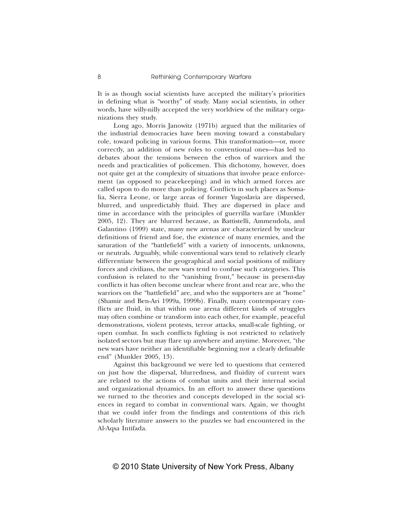It is as though social scientists have accepted the military's priorities in defining what is "worthy" of study. Many social scientists, in other words, have willy-nilly accepted the very worldview of the military organizations they study.

Long ago, Morris Janowitz (1971b) argued that the militaries of the industrial democracies have been moving toward a constabulary role, toward policing in various forms. This transformation—or, more correctly, an addition of new roles to conventional ones—has led to debates about the tensions between the ethos of warriors and the needs and practicalities of policemen. This dichotomy, however, does not quite get at the complexity of situations that involve peace enforcement (as opposed to peacekeeping) and in which armed forces are called upon to do more than policing. Conflicts in such places as Somalia, Sierra Leone, or large areas of former Yugoslavia are dispersed, blurred, and unpredictably fluid. They are dispersed in place and time in accordance with the principles of guerrilla warfare (Munkler 2005, 12). They are blurred because, as Battistelli, Ammendola, and Galantino (1999) state, many new arenas are characterized by unclear definitions of friend and foe, the existence of many enemies, and the saturation of the "battlefield" with a variety of innocents, unknowns, or neutrals. Arguably, while conventional wars tend to relatively clearly differentiate between the geographical and social positions of military forces and civilians, the new wars tend to confuse such categories. This confusion is related to the "vanishing front," because in present-day conflicts it has often become unclear where front and rear are, who the warriors on the "battlefield" are, and who the supporters are at "home" (Shamir and Ben-Ari 1999a, 1999b). Finally, many contemporary conflicts are fluid, in that within one arena different kinds of struggles may often combine or transform into each other, for example, peaceful demonstrations, violent protests, terror attacks, small-scale fighting, or open combat. In such conflicts fighting is not restricted to relatively isolated sectors but may flare up anywhere and anytime. Moreover, "the new wars have neither an identifiable beginning nor a clearly definable end" (Munkler 2005, 13).

Against this background we were led to questions that centered on just how the dispersal, blurredness, and fluidity of current wars are related to the actions of combat units and their internal social and organizational dynamics. In an effort to answer these questions we turned to the theories and concepts developed in the social sciences in regard to combat in conventional wars. Again, we thought that we could infer from the findings and contentions of this rich scholarly literature answers to the puzzles we had encountered in the Al-Aqsa Intifada.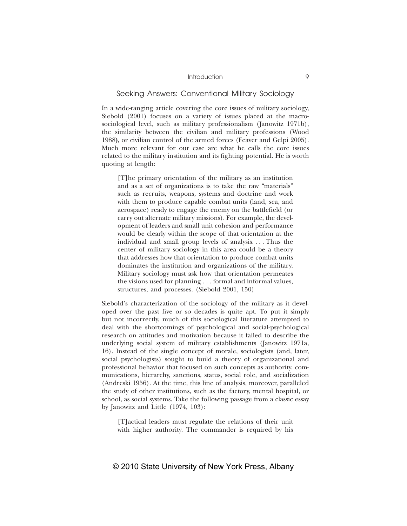## Seeking Answers: Conventional Military Sociology

In a wide-ranging article covering the core issues of military sociology, Siebold (2001) focuses on a variety of issues placed at the macrosociological level, such as military professionalism (Janowitz 1971b), the similarity between the civilian and military professions (Wood 1988**)**, or civilian control of the armed forces (Feaver and Gelpi 2005). Much more relevant for our case are what he calls the core issues related to the military institution and its fighting potential. He is worth quoting at length:

[T]he primary orientation of the military as an institution and as a set of organizations is to take the raw "materials" such as recruits, weapons, systems and doctrine and work with them to produce capable combat units (land, sea, and aerospace) ready to engage the enemy on the battlefield (or carry out alternate military missions). For example, the development of leaders and small unit cohesion and performance would be clearly within the scope of that orientation at the individual and small group levels of analysis. . . . Thus the center of military sociology in this area could be a theory that addresses how that orientation to produce combat units dominates the institution and organizations of the military. Military sociology must ask how that orientation permeates the visions used for planning . . . formal and informal values, structures, and processes. (Siebold 2001, 150)

Siebold's characterization of the sociology of the military as it developed over the past five or so decades is quite apt. To put it simply but not incorrectly, much of this sociological literature attempted to deal with the shortcomings of psychological and social-psychological research on attitudes and motivation because it failed to describe the underlying social system of military establishments (Janowitz 1971a, 16). Instead of the single concept of morale, sociologists (and, later, social psychologists) sought to build a theory of organizational and professional behavior that focused on such concepts as authority, communications, hierarchy, sanctions, status, social role, and socialization (Andreski 1956). At the time, this line of analysis, moreover, paralleled the study of other institutions, such as the factory, mental hospital, or school, as social systems. Take the following passage from a classic essay by Janowitz and Little (1974, 103):

[T]actical leaders must regulate the relations of their unit with higher authority. The commander is required by his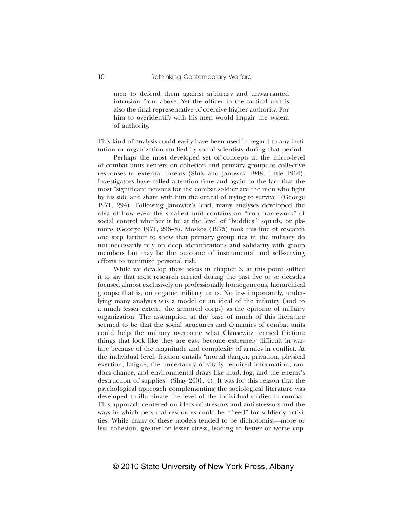men to defend them against arbitrary and unwarranted intrusion from above. Yet the officer in the tactical unit is also the final representative of coercive higher authority. For him to overidentify with his men would impair the system of authority.

This kind of analysis could easily have been used in regard to any institution or organization studied by social scientists during that period.

Perhaps the most developed set of concepts at the micro-level of combat units centers on cohesion and primary groups as collective responses to external threats (Shils and Janowitz 1948; Little 1964). Investigators have called attention time and again to the fact that the most "significant persons for the combat soldier are the men who fight by his side and share with him the ordeal of trying to survive" (George 1971, 294). Following Janowitz's lead, many analyses developed the idea of how even the smallest unit contains an "iron framework" of social control whether it be at the level of "buddies," squads, or platoons (George 1971, 296–8). Moskos (1975) took this line of research one step farther to show that primary group ties in the military do not necessarily rely on deep identifications and solidarity with group members but may be the outcome of instrumental and self-serving efforts to minimize personal risk.

While we develop these ideas in chapter 3, at this point suffice it to say that most research carried during the past five or so decades focused almost exclusively on professionally homogeneous, hierarchical groups: that is, on organic military units. No less importantly, underlying many analyses was a model or an ideal of the infantry (and to a much lesser extent, the armored corps) as the epitome of military organization. The assumption at the base of much of this literature seemed to be that the social structures and dynamics of combat units could help the military overcome what Clausewitz termed friction: things that look like they are easy become extremely difficult in warfare because of the magnitude and complexity of armies in conflict. At the individual level, friction entails "mortal danger, privation, physical exertion, fatigue, the uncertainty of vitally required information, random chance, and environmental drags like mud, fog, and the enemy's destruction of supplies" (Shay 2001, 4). It was for this reason that the psychological approach complementing the sociological literature was developed to illuminate the level of the individual soldier in combat. This approach centered on ideas of stressors and anti-stressors and the ways in which personal resources could be "freed" for soldierly activities. While many of these models tended to be dichotomist—more or less cohesion, greater or lesser stress, leading to better or worse cop-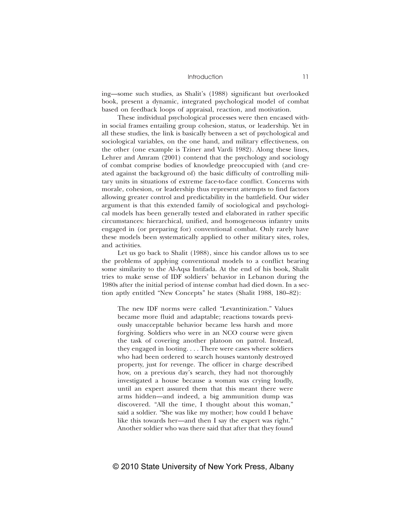ing—some such studies, as Shalit's (1988) significant but overlooked book, present a dynamic, integrated psychological model of combat based on feedback loops of appraisal, reaction, and motivation.

These individual psychological processes were then encased within social frames entailing group cohesion, status, or leadership. Yet in all these studies, the link is basically between a set of psychological and sociological variables, on the one hand, and military effectiveness, on the other (one example is Tziner and Vardi 1982). Along these lines, Lehrer and Amram (2001) contend that the psychology and sociology of combat comprise bodies of knowledge preoccupied with (and created against the background of) the basic difficulty of controlling military units in situations of extreme face-to-face conflict. Concerns with morale, cohesion, or leadership thus represent attempts to find factors allowing greater control and predictability in the battlefield. Our wider argument is that this extended family of sociological and psychological models has been generally tested and elaborated in rather specific circumstances: hierarchical, unified, and homogeneous infantry units engaged in (or preparing for) conventional combat. Only rarely have these models been systematically applied to other military sites, roles, and activities.

Let us go back to Shalit (1988), since his candor allows us to see the problems of applying conventional models to a conflict bearing some similarity to the Al-Aqsa Intifada. At the end of his book, Shalit tries to make sense of IDF soldiers' behavior in Lebanon during the 1980s after the initial period of intense combat had died down. In a section aptly entitled "New Concepts" he states (Shalit 1988, 180–82):

The new IDF norms were called "Levantinization." Values became more fluid and adaptable; reactions towards previously unacceptable behavior became less harsh and more forgiving. Soldiers who were in an NCO course were given the task of covering another platoon on patrol. Instead, they engaged in looting. . . . There were cases where soldiers who had been ordered to search houses wantonly destroyed property, just for revenge. The officer in charge described how, on a previous day's search, they had not thoroughly investigated a house because a woman was crying loudly, until an expert assured them that this meant there were arms hidden—and indeed, a big ammunition dump was discovered. "All the time, I thought about this woman," said a soldier. "She was like my mother; how could I behave like this towards her—and then I say the expert was right." Another soldier who was there said that after that they found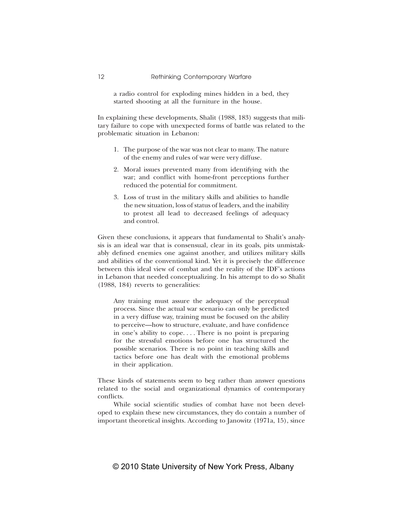a radio control for exploding mines hidden in a bed, they started shooting at all the furniture in the house.

In explaining these developments, Shalit (1988, 183) suggests that military failure to cope with unexpected forms of battle was related to the problematic situation in Lebanon:

- 1. The purpose of the war was not clear to many. The nature of the enemy and rules of war were very diffuse.
- 2. Moral issues prevented many from identifying with the war; and conflict with home-front perceptions further reduced the potential for commitment.
- 3. Loss of trust in the military skills and abilities to handle the new situation, loss of status of leaders, and the inability to protest all lead to decreased feelings of adequacy and control.

Given these conclusions, it appears that fundamental to Shalit's analysis is an ideal war that is consensual, clear in its goals, pits unmistakably defined enemies one against another, and utilizes military skills and abilities of the conventional kind. Yet it is precisely the difference between this ideal view of combat and the reality of the IDF's actions in Lebanon that needed conceptualizing. In his attempt to do so Shalit (1988, 184) reverts to generalities:

Any training must assure the adequacy of the perceptual process. Since the actual war scenario can only be predicted in a very diffuse way, training must be focused on the ability to perceive—how to structure, evaluate, and have confidence in one's ability to cope. . . . There is no point is preparing for the stressful emotions before one has structured the possible scenarios. There is no point in teaching skills and tactics before one has dealt with the emotional problems in their application.

These kinds of statements seem to beg rather than answer questions related to the social and organizational dynamics of contemporary conflicts.

While social scientific studies of combat have not been developed to explain these new circumstances, they do contain a number of important theoretical insights. According to Janowitz (1971a, 15), since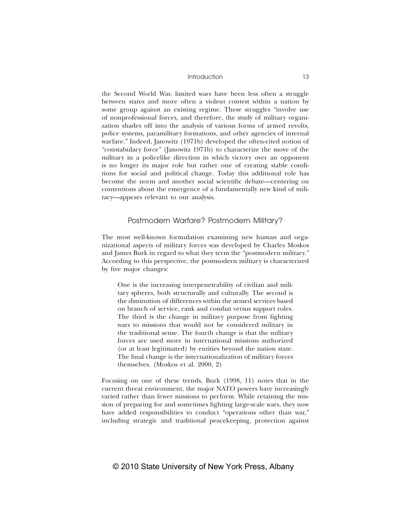the Second World War, limited wars have been less often a struggle between states and more often a violent contest within a nation by some group against an existing regime. These struggles "involve use of nonprofessional forces, and therefore, the study of military organization shades off into the analysis of various forms of armed revolts, police systems, paramilitary formations, and other agencies of internal warfare." Indeed, Janowitz (1971b) developed the often-cited notion of "constabulary force" (Janowitz 1971b) to characterize the move of the military in a policelike direction in which victory over an opponent is no longer its major role but rather one of creating stable conditions for social and political change. Today this additional role has become the norm and another social scientific debate—centering on contentions about the emergence of a fundamentally new kind of military—appears relevant to our analysis.

# Postmodern Warfare? Postmodern Military?

The most well-known formulation examining new human and organizational aspects of military forces was developed by Charles Moskos and James Burk in regard to what they term the "postmodern military." According to this perspective, the postmodern military is characterized by five major changes:

One is the increasing interpenetrability of civilian and military spheres, both structurally and culturally. The second is the diminution of differences within the armed services based on branch of service, rank and combat versus support roles. The third is the change in military purpose from fighting wars to missions that would not be considered military in the traditional sense. The fourth change is that the military forces are used more in international missions authorized (or at least legitimated) by entities beyond the nation state. The final change is the internationalization of military forces themselves. (Moskos et al. 2000, 2)

Focusing on one of these trends, Burk (1998, 11) notes that in the current threat environment, the major NATO powers have increasingly varied rather than fewer missions to perform. While retaining the mission of preparing for and sometimes fighting large-scale wars, they now have added responsibilities to conduct "operations other than war," including strategic and traditional peacekeeping, protection against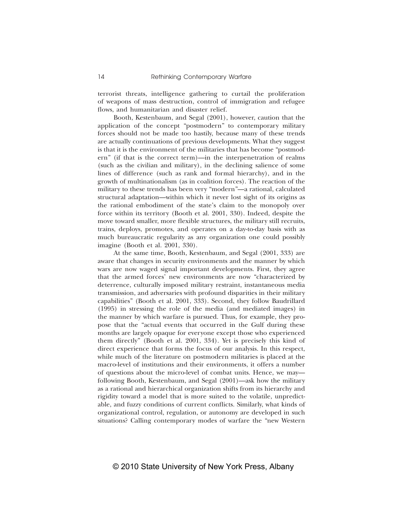terrorist threats, intelligence gathering to curtail the proliferation of weapons of mass destruction, control of immigration and refugee flows, and humanitarian and disaster relief.

Booth, Kestenbaum, and Segal (2001), however, caution that the application of the concept "postmodern" to contemporary military forces should not be made too hastily, because many of these trends are actually continuations of previous developments. What they suggest is that it is the environment of the militaries that has become "postmodern" (if that is the correct term)—in the interpenetration of realms (such as the civilian and military), in the declining salience of some lines of difference (such as rank and formal hierarchy), and in the growth of multinationalism (as in coalition forces). The reaction of the military to these trends has been very "modern"—a rational, calculated structural adaptation—within which it never lost sight of its origins as the rational embodiment of the state's claim to the monopoly over force within its territory (Booth et al. 2001, 330). Indeed, despite the move toward smaller, more flexible structures, the military still recruits, trains, deploys, promotes, and operates on a day-to-day basis with as much bureaucratic regularity as any organization one could possibly imagine (Booth et al. 2001, 330).

At the same time, Booth, Kestenbaum, and Segal (2001, 333) are aware that changes in security environments and the manner by which wars are now waged signal important developments. First, they agree that the armed forces' new environments are now "characterized by deterrence, culturally imposed military restraint, instantaneous media transmission, and adversaries with profound disparities in their military capabilities" (Booth et al. 2001, 333). Second, they follow Baudrillard (1995) in stressing the role of the media (and mediated images) in the manner by which warfare is pursued. Thus, for example, they propose that the "actual events that occurred in the Gulf during these months are largely opaque for everyone except those who experienced them directly" (Booth et al. 2001, 334). Yet is precisely this kind of direct experience that forms the focus of our analysis. In this respect, while much of the literature on postmodern militaries is placed at the macro-level of institutions and their environments, it offers a number of questions about the micro-level of combat units. Hence, we may following Booth, Kestenbaum, and Segal (2001)—ask how the military as a rational and hierarchical organization shifts from its hierarchy and rigidity toward a model that is more suited to the volatile, unpredictable, and fuzzy conditions of current conflicts. Similarly, what kinds of organizational control, regulation, or autonomy are developed in such situations? Calling contemporary modes of warfare the "new Western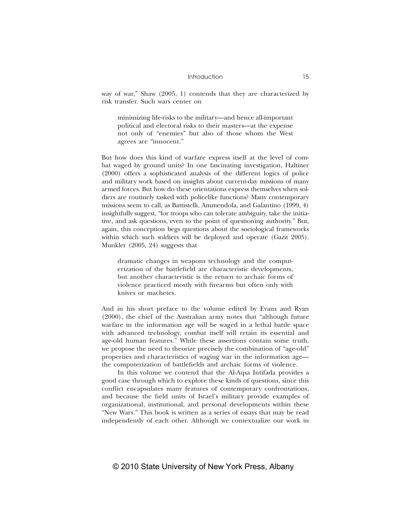way of war," Shaw (2005, 1) contends that they are characterized by risk transfer. Such wars center on

minimizing life-risks to the military—and hence all-important political and electoral risks to their masters—at the expense not only of "enemies" but also of those whom the West agrees are "innocent."

But how does this kind of warfare express itself at the level of combat waged by ground units? In one fascinating investigation, Haltiner (2000) offers a sophisticated analysis of the different logics of police and military work based on insights about current-day missions of many armed forces. But how do these orientations express themselves when soldiers are routinely tasked with policelike functions? Many contemporary missions seem to call, as Battistelli, Ammendola, and Galantino (1999, 4) insightfully suggest, "for troops who can tolerate ambiguity, take the initiative, and ask questions, even to the point of questioning authority." But, again, this conception begs questions about the sociological frameworks within which such soldiers will be deployed and operate (Gazit 2005). Munkler (2005, 24) suggests that

dramatic changes in weapons technology and the computerization of the battlefield are characteristic developments, but another characteristic is the return to archaic forms of violence practiced mostly with firearms but often only with knives or machetes.

And in his short preface to the volume edited by Evans and Ryan (2000), the chief of the Australian army notes that "although future warfare in the information age will be waged in a lethal battle space with advanced technology, combat itself will retain its essential and age-old human features." While these assertions contain some truth, we propose the need to theorize precisely the combination of "age-old" properties and characteristics of waging war in the information age the computerization of battlefields and archaic forms of violence.

In this volume we contend that the Al-Aqsa Intifada provides a good case through which to explore these kinds of questions, since this conflict encapsulates many features of contemporary confrontations, and because the field units of Israel's military provide examples of organizational, institutional, and personal developments within these "New Wars." This book is written as a series of essays that may be read independently of each other. Although we contextualize our work in